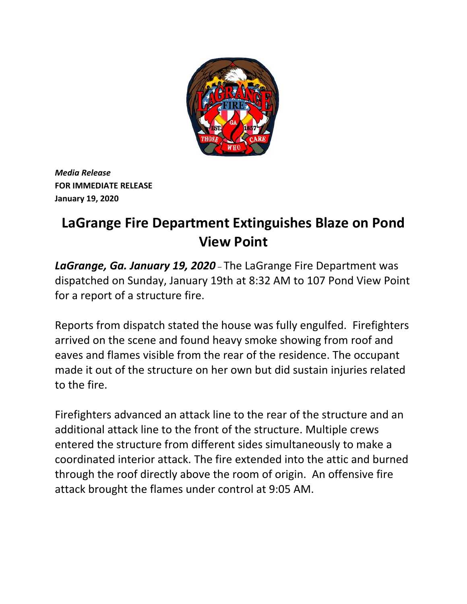

*Media Release* **FOR IMMEDIATE RELEASE January 19, 2020**

## **LaGrange Fire Department Extinguishes Blaze on Pond View Point**

*LaGrange, Ga. January 19, 2020* – The LaGrange Fire Department was dispatched on Sunday, January 19th at 8:32 AM to 107 Pond View Point for a report of a structure fire.

Reports from dispatch stated the house was fully engulfed. Firefighters arrived on the scene and found heavy smoke showing from roof and eaves and flames visible from the rear of the residence. The occupant made it out of the structure on her own but did sustain injuries related to the fire.

Firefighters advanced an attack line to the rear of the structure and an additional attack line to the front of the structure. Multiple crews entered the structure from different sides simultaneously to make a coordinated interior attack. The fire extended into the attic and burned through the roof directly above the room of origin. An offensive fire attack brought the flames under control at 9:05 AM.